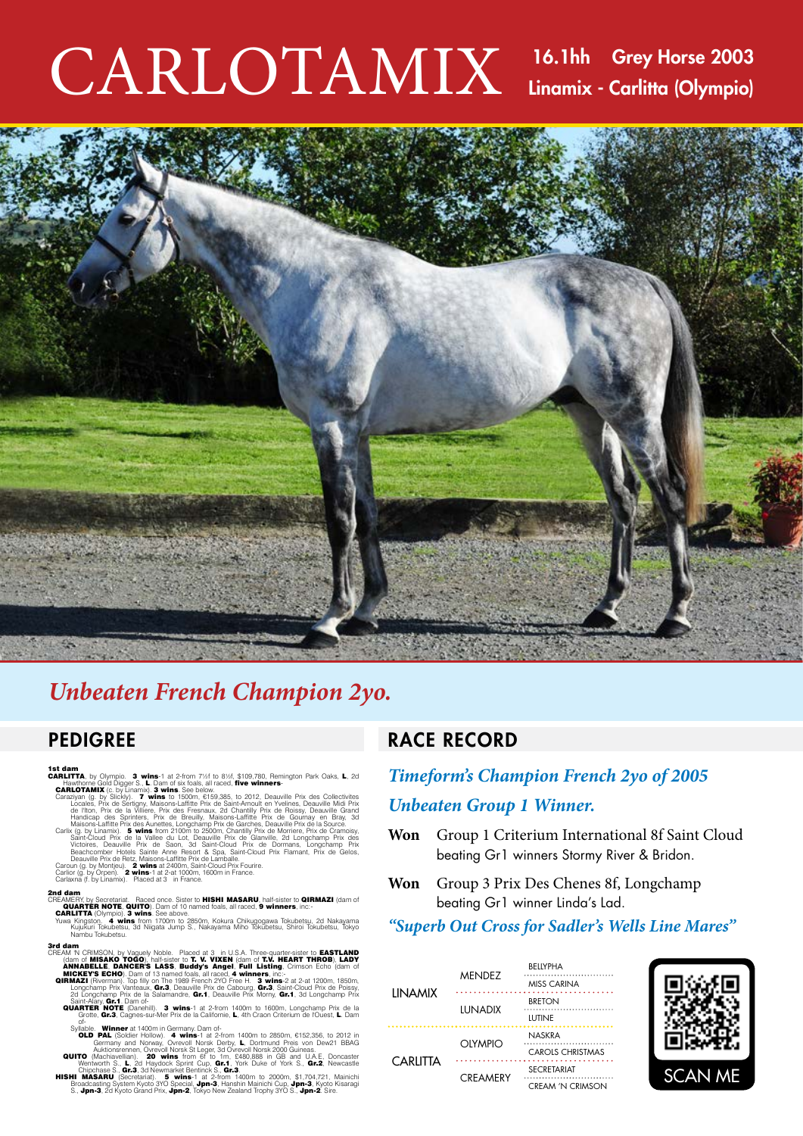# $CARLOTAMIX$  16.1hh Grey Horse 2003 Linamix - Carlitta (Olympio)



#### Unbeaten French Champion 2yo. **Unbeaten French Champion**

#### **PEDIGREE And All And All And All And All And All And All And All And All And A** Martaline, Ashalanda, Millemix, Bernimixa, Diamilina, Clodora, Diamond Mix, Housamix, etc. **PEDIGREE** Martaline, Ashalanda, Millemix, Bernimixa, Diamilina, Clodora, Diamond Mix, Housamix, etc.

- 
- 
- **SCALL TTA**, by Olympio. **3 wins**-1 at 2-from 7%f to 8%f, \$109,780, Remington Park Oaks, **L**, 2d<br> **CARLOTTA**, by Olympio. **3 wins** 5-ta taced, **five winners**-<br> **CARLOTTA**, the Constantinum Cold Digens St, to Dam of six fol **1st dam**<br> **CARUTTA**, by Olympio. **3 wins**-1 at 2-from 7%f to 8%f, \$109,780, Remington Park Oaks, **L**, 2d<br>
Hawthorne Gold Digger S., **L**. Dam of six foals, all raced, **five winners-**<br> **CARLOTAMIX** (c. by Linamix): **3 wins**
- 
- 

#### 2nd dam 2nd dam

#### CREAMERY, by Secretariat. Raced once. Sister to **HISHI MASARU**, half-sister to **QIRMAZI** (dam of<br>**QUARTER NOTE, QUITO**). Dam of 10 named foals, all raced, 9 winners, inc:<br>**CARLITTA** (Olympio). **3 wins**. See above.<br>Yuwa Kin CREAMERY, by Secretarial. Raced once. Sister to **HISHI MASARU**, half-sister to **QIRMAZI** (dam of<br>**CARLITTA** (Olympio) 3 wins See above.<br>**CARLITTA** (Olympio) 3 wins See above.<br>Yuwa Kingston. 4 wins from 1700m to 2850m, Koku

- 3rd dam 3rd dam CREAM IN CRIMSON, by Vaguely Noble. Placed at 3 in U.S.A. Three-quarter-sister to **CASTLAND**<br>(dam of MISARO TOGO), half-sister to **T. V. VIXEN** (dam of **T.V. HEART THROB), LADY**<br>**ANNABELLE. DANCER'S LASS, Buddy's Angel. Fu**
- CHEAN TV CHINGURY, by Valguely NODE. Placed at 3 In U.S.A. Intee-quare-sister to **CALCURE CHART THROB). LADY**<br> **ANNABELLE, DANCER'S LASS, Buddy's Angel, Full Listing**, Crimson Echo (dam of<br> **ANNABELLE, DANCER'S LASS, Buddy** 
	-
- Sylable. Winner at 1400m in dermany. Dam of the Caldier Hollow). 4 Wins-1 at 2-from 1400m to 2850m, €152,356, to 2012 in Clemany and Noway, Overvoll Norsk Derby, L, Dotmund Preis von Device Auditors (Auditors Cleman). 20 w Syllable. Winner at 1400m in Germany. Dam of the manner and the manner of the CHI CALC (SCIT) COLD PAL (Science The Auditom Section 2012 in Auditoms and Norway). Overvoll Norsk Derby, L, Dortmund Preis von Devid (Auditoms
- 
- 

### RACE RECORD

## *Timeform's Champion French 2yo of 2005 Unbeaten Group 1 Winner.*

- **Won** Group 1 Criterium International 8f Saint Cloud beating Gr1 winners Stormy River & Bridon.
- **Won** Group 3 Prix Des Chenes 8f, Longchamp beating Gr1 winner Linda's Lad.

#### *"Superb Out Cross for Sadler's Wells Line Mares"*

| <b>LINAMIX</b>  | <b>MENDEZ</b>   | <b>REIIYPHA</b>                          |
|-----------------|-----------------|------------------------------------------|
|                 |                 | <b>MISS CARINA</b>                       |
|                 | LUNADIX         | <b>BRETON</b><br>LUTINE                  |
| <b>CARLITTA</b> | OLYMPIO         | <b>NASKRA</b><br><b>CAROLS CHRISTMAS</b> |
|                 | <b>CREAMERY</b> | <b>SECRETARIAT</b><br>CREAM 'N CRIMSON   |